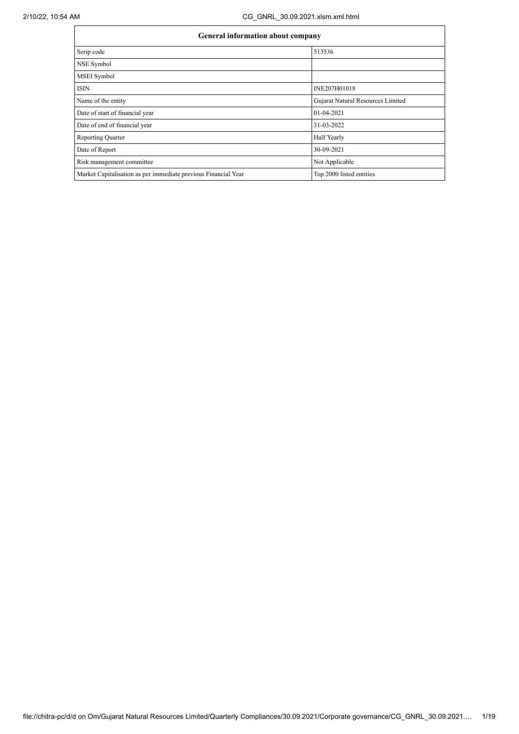| <b>General information about company</b>                       |                                   |  |  |  |  |  |
|----------------------------------------------------------------|-----------------------------------|--|--|--|--|--|
| Scrip code                                                     | 513536                            |  |  |  |  |  |
| NSE Symbol                                                     |                                   |  |  |  |  |  |
| <b>MSEI</b> Symbol                                             |                                   |  |  |  |  |  |
| <b>ISIN</b>                                                    | INE207H01018                      |  |  |  |  |  |
| Name of the entity                                             | Gujarat Natural Resources Limited |  |  |  |  |  |
| Date of start of financial year                                | 01-04-2021                        |  |  |  |  |  |
| Date of end of financial year                                  | 31-03-2022                        |  |  |  |  |  |
| <b>Reporting Quarter</b>                                       | <b>Half Yearly</b>                |  |  |  |  |  |
| Date of Report                                                 | 30-09-2021                        |  |  |  |  |  |
| Risk management committee                                      | Not Applicable                    |  |  |  |  |  |
| Market Capitalisation as per immediate previous Financial Year | Top 2000 listed entities          |  |  |  |  |  |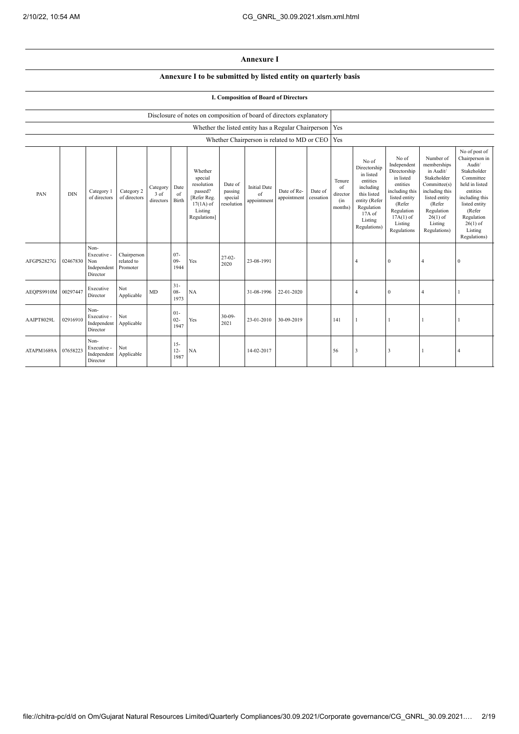## **Annexure I**

## **Annexure I to be submitted by listed entity on quarterly basis**

## **I. Composition of Board of Directors**

|                     |            |                                                       |                                       |                               |                          | Disclosure of notes on composition of board of directors explanatory                                 |                                             |                                          |                                                     |                      |                                            |                                                                                                                                                |                                                                                                                                                                   |                                                                                                                                                                          |                                                                                                                                                                                                         |
|---------------------|------------|-------------------------------------------------------|---------------------------------------|-------------------------------|--------------------------|------------------------------------------------------------------------------------------------------|---------------------------------------------|------------------------------------------|-----------------------------------------------------|----------------------|--------------------------------------------|------------------------------------------------------------------------------------------------------------------------------------------------|-------------------------------------------------------------------------------------------------------------------------------------------------------------------|--------------------------------------------------------------------------------------------------------------------------------------------------------------------------|---------------------------------------------------------------------------------------------------------------------------------------------------------------------------------------------------------|
|                     |            |                                                       |                                       |                               |                          |                                                                                                      |                                             |                                          | Whether the listed entity has a Regular Chairperson |                      | Yes                                        |                                                                                                                                                |                                                                                                                                                                   |                                                                                                                                                                          |                                                                                                                                                                                                         |
|                     |            |                                                       |                                       |                               |                          |                                                                                                      |                                             |                                          | Whether Chairperson is related to MD or CEO         |                      | Yes                                        |                                                                                                                                                |                                                                                                                                                                   |                                                                                                                                                                          |                                                                                                                                                                                                         |
| PAN                 | <b>DIN</b> | Category 1<br>of directors                            | Category 2<br>of directors            | Category<br>3 of<br>directors | Date<br>of<br>Birth      | Whether<br>special<br>resolution<br>passed?<br>[Refer Reg.<br>$17(1A)$ of<br>Listing<br>Regulations] | Date of<br>passing<br>special<br>resolution | <b>Initial Date</b><br>of<br>appointment | Date of Re-<br>appointment                          | Date of<br>cessation | Tenure<br>of<br>director<br>(in<br>months) | No of<br>Directorship<br>in listed<br>entities<br>including<br>this listed<br>entity (Refer<br>Regulation<br>17A of<br>Listing<br>Regulations) | No of<br>Independent<br>Directorship<br>in listed<br>entities<br>including this<br>listed entity<br>(Refer<br>Regulation<br>$17A(1)$ of<br>Listing<br>Regulations | Number of<br>memberships<br>in Audit/<br>Stakeholder<br>Committee(s)<br>including this<br>listed entity<br>(Refer<br>Regulation<br>$26(1)$ of<br>Listing<br>Regulations) | No of post of<br>Chairperson in<br>Audit/<br>Stakeholder<br>Committee<br>held in listed<br>entities<br>including this<br>listed entity<br>(Refer<br>Regulation<br>$26(1)$ of<br>Listing<br>Regulations) |
| AFGPS2827G          | 02467830   | Non-<br>Executive -<br>Non<br>Independent<br>Director | Chairperson<br>related to<br>Promoter |                               | $07 -$<br>$09 -$<br>1944 | Yes                                                                                                  | $27-02-$<br>2020                            | 23-08-1991                               |                                                     |                      |                                            | $\overline{4}$                                                                                                                                 | $\mathbf{0}$                                                                                                                                                      | $\overline{4}$                                                                                                                                                           | $\theta$                                                                                                                                                                                                |
| AEOPS9910M 00297447 |            | Executive<br>Director                                 | Not<br>Applicable                     | MD                            | $31 -$<br>$08 -$<br>1973 | NA                                                                                                   |                                             | 31-08-1996                               | 22-01-2020                                          |                      |                                            | $\overline{4}$                                                                                                                                 | $\mathbf{0}$                                                                                                                                                      | $\overline{4}$                                                                                                                                                           |                                                                                                                                                                                                         |
| AAIPT8029L          | 02916910   | Non-<br>Executive -<br>Independent<br>Director        | Not<br>Applicable                     |                               | $01 -$<br>$02 -$<br>1947 | Yes                                                                                                  | $30 - 09 -$<br>2021                         | 23-01-2010                               | 30-09-2019                                          |                      | 141                                        |                                                                                                                                                |                                                                                                                                                                   |                                                                                                                                                                          |                                                                                                                                                                                                         |
| ATAPM1689A          | 07658223   | Non-<br>Executive -<br>Independent<br>Director        | Not<br>Applicable                     |                               | $15 -$<br>$12 -$<br>1987 | NA                                                                                                   |                                             | 14-02-2017                               |                                                     |                      | 56                                         | $\overline{\mathbf{3}}$                                                                                                                        | 3                                                                                                                                                                 |                                                                                                                                                                          | $\overline{4}$                                                                                                                                                                                          |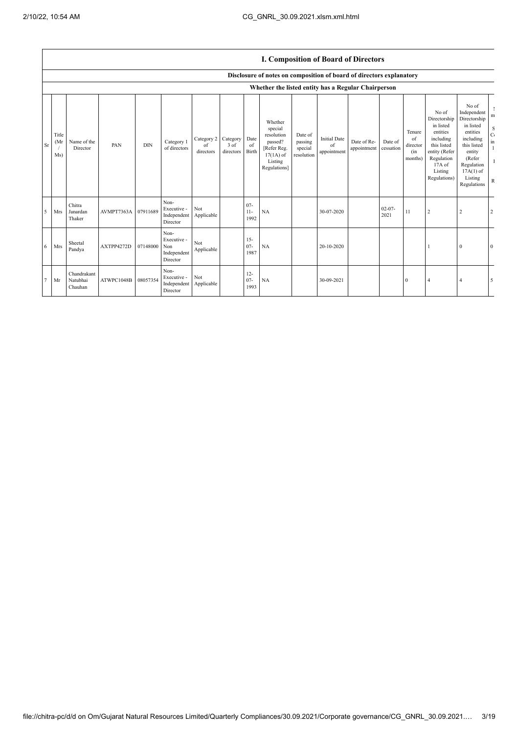|    |                      |                                    |            |            |                                                       |                               |                               |                          |                                                                                                      |                                             | <b>1. Composition of Board of Directors</b> |                            |                      |                                            |                                                                                                                                                |                                                                                                                                                                      |                                                                            |
|----|----------------------|------------------------------------|------------|------------|-------------------------------------------------------|-------------------------------|-------------------------------|--------------------------|------------------------------------------------------------------------------------------------------|---------------------------------------------|---------------------------------------------|----------------------------|----------------------|--------------------------------------------|------------------------------------------------------------------------------------------------------------------------------------------------|----------------------------------------------------------------------------------------------------------------------------------------------------------------------|----------------------------------------------------------------------------|
|    |                      |                                    |            |            |                                                       |                               |                               |                          | Disclosure of notes on composition of board of directors explanatory                                 |                                             |                                             |                            |                      |                                            |                                                                                                                                                |                                                                                                                                                                      |                                                                            |
|    |                      |                                    |            |            |                                                       |                               |                               |                          | Whether the listed entity has a Regular Chairperson                                                  |                                             |                                             |                            |                      |                                            |                                                                                                                                                |                                                                                                                                                                      |                                                                            |
| Sr | Title<br>(MI)<br>Ms) | Name of the<br>Director            | PAN        | <b>DIN</b> | Category 1<br>of directors                            | Category 2<br>of<br>directors | Category<br>3 of<br>directors | Date<br>of<br>Birth      | Whether<br>special<br>resolution<br>passed?<br>[Refer Reg.<br>$17(1A)$ of<br>Listing<br>Regulations] | Date of<br>passing<br>special<br>resolution | <b>Initial Date</b><br>of<br>appointment    | Date of Re-<br>appointment | Date of<br>cessation | Tenure<br>of<br>director<br>(in<br>months) | No of<br>Directorship<br>in listed<br>entities<br>including<br>this listed<br>entity (Refer<br>Regulation<br>17A of<br>Listing<br>Regulations) | No of<br>Independent<br>Directorship<br>in listed<br>entities<br>including<br>this listed<br>entity<br>(Refer<br>Regulation<br>$17A(1)$ of<br>Listing<br>Regulations | m<br>$\mathbf S$<br>$\mathbf C$<br>$\,$ in<br>$\mathbf{I}$<br>$\mathbb{R}$ |
| 5  | Mrs                  | Chitra<br>Janardan<br>Thaker       | AVMPT7363A | 07911689   | Non-<br>Executive -<br>Independent<br>Director        | Not<br>Applicable             |                               | $07 -$<br>$11-$<br>1992  | NA                                                                                                   |                                             | 30-07-2020                                  |                            | $02 - 07 -$<br>2021  | 11                                         | $\overline{2}$                                                                                                                                 | $\overline{2}$                                                                                                                                                       | 2                                                                          |
| 6  | Mrs                  | Sheetal<br>Pandya                  | AXTPP4272D | 07148000   | Non-<br>Executive -<br>Non<br>Independent<br>Director | Not<br>Applicable             |                               | $15 -$<br>$07 -$<br>1987 | NA                                                                                                   |                                             | 20-10-2020                                  |                            |                      |                                            |                                                                                                                                                | 0                                                                                                                                                                    | $\mathbf{0}$                                                               |
| 7  | Mr                   | Chandrakant<br>Natubhai<br>Chauhan | ATWPC1048B | 08057354   | Non-<br>Executive -<br>Independent<br>Director        | Not<br>Applicable             |                               | $12 -$<br>$07 -$<br>1993 | NA                                                                                                   |                                             | 30-09-2021                                  |                            |                      | $\mathbf{0}$                               | $\overline{4}$                                                                                                                                 |                                                                                                                                                                      | 5                                                                          |

## **I. Composition of Board of Directors**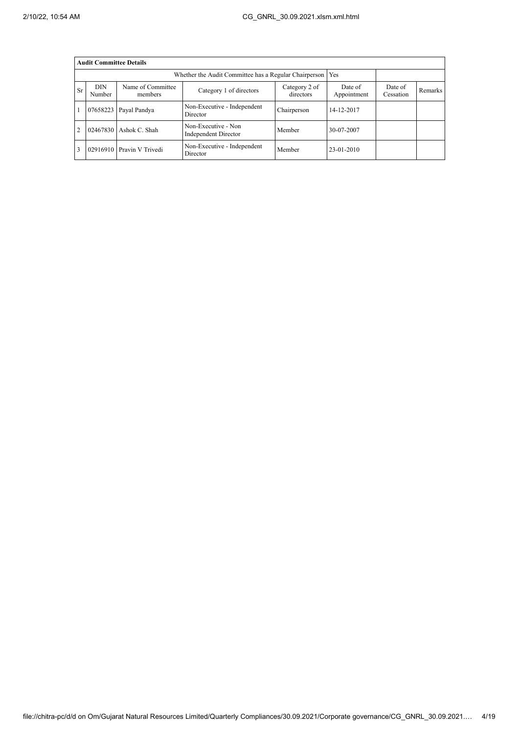|           | <b>Audit Committee Details</b> |                              |                                                       |                        |                      |                |  |  |  |  |  |
|-----------|--------------------------------|------------------------------|-------------------------------------------------------|------------------------|----------------------|----------------|--|--|--|--|--|
|           |                                |                              | Whether the Audit Committee has a Regular Chairperson |                        | Yes                  |                |  |  |  |  |  |
| <b>Sr</b> | <b>DIN</b><br>Number           | Name of Committee<br>members | Category 2 of<br>directors                            | Date of<br>Appointment | Date of<br>Cessation | <b>Remarks</b> |  |  |  |  |  |
|           | 07658223                       | Payal Pandya                 | Non-Executive - Independent<br>Director               | Chairperson            | 14-12-2017           |                |  |  |  |  |  |
|           | 02467830                       | Ashok C. Shah                | Non-Executive - Non<br>Independent Director           | Member                 | 30-07-2007           |                |  |  |  |  |  |
|           | 02916910                       | Pravin V Trivedi             | Non-Executive - Independent<br>Director               | Member                 | $23-01-2010$         |                |  |  |  |  |  |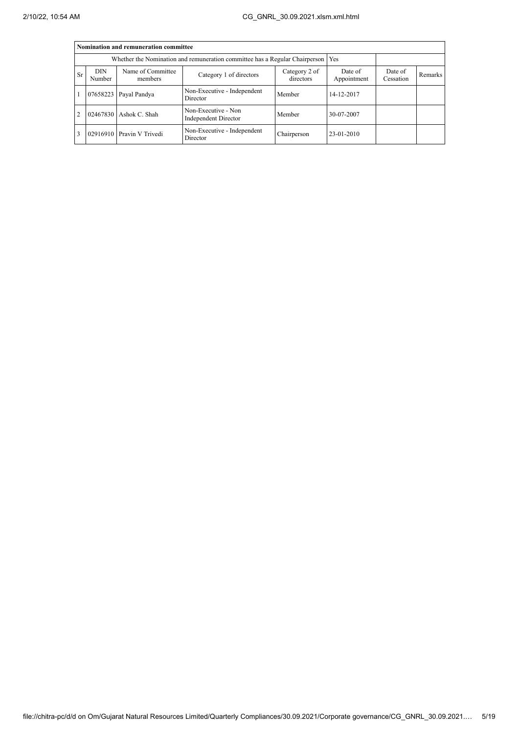|           | Nomination and remuneration committee |                              |                                                                                   |                      |              |  |  |  |  |  |  |
|-----------|---------------------------------------|------------------------------|-----------------------------------------------------------------------------------|----------------------|--------------|--|--|--|--|--|--|
|           |                                       |                              | Whether the Nomination and remuneration committee has a Regular Chairperson   Yes |                      |              |  |  |  |  |  |  |
| <b>Sr</b> | <b>DIN</b><br>Number                  | Name of Committee<br>members | Date of<br>Appointment                                                            | Date of<br>Cessation | Remarks      |  |  |  |  |  |  |
|           |                                       | 07658223 Payal Pandya        | Non-Executive - Independent<br>Director                                           | Member               | 14-12-2017   |  |  |  |  |  |  |
| 2         |                                       | 02467830 Ashok C. Shah       | Non-Executive - Non<br><b>Independent Director</b>                                | Member               | 30-07-2007   |  |  |  |  |  |  |
| 3         |                                       | 02916910 Pravin V Trivedi    | Non-Executive - Independent<br>Director                                           | Chairperson          | $23-01-2010$ |  |  |  |  |  |  |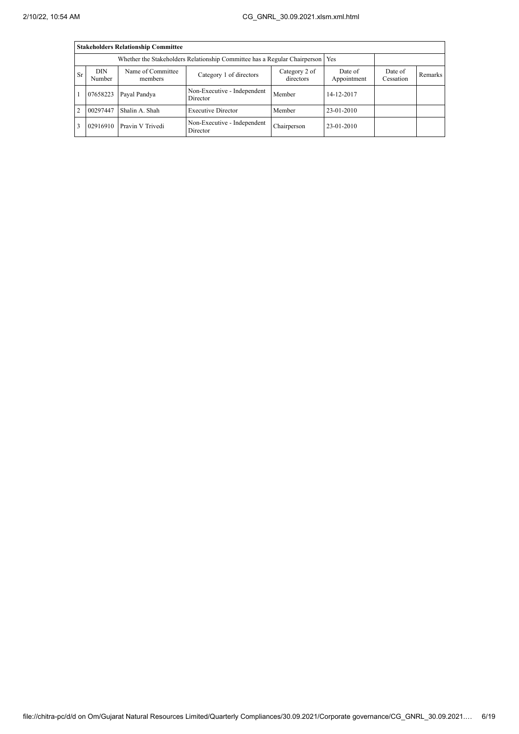|           | <b>Stakeholders Relationship Committee</b> |                                                                                  |                                         |                        |                      |         |  |  |  |  |  |
|-----------|--------------------------------------------|----------------------------------------------------------------------------------|-----------------------------------------|------------------------|----------------------|---------|--|--|--|--|--|
|           |                                            | Whether the Stakeholders Relationship Committee has a Regular Chairperson<br>Yes |                                         |                        |                      |         |  |  |  |  |  |
| <b>Sr</b> | DIN<br>Number                              | Name of Committee<br>members                                                     | Category 2 of<br>directors              | Date of<br>Appointment | Date of<br>Cessation | Remarks |  |  |  |  |  |
|           | 07658223                                   | Payal Pandya                                                                     | Non-Executive - Independent<br>Director | Member                 | 14-12-2017           |         |  |  |  |  |  |
| 2         | 00297447                                   | Shalin A. Shah                                                                   | <b>Executive Director</b>               | Member                 | 23-01-2010           |         |  |  |  |  |  |
| 3         |                                            | 02916910 Pravin V Trivedi                                                        | Non-Executive - Independent<br>Director | Chairperson            | 23-01-2010           |         |  |  |  |  |  |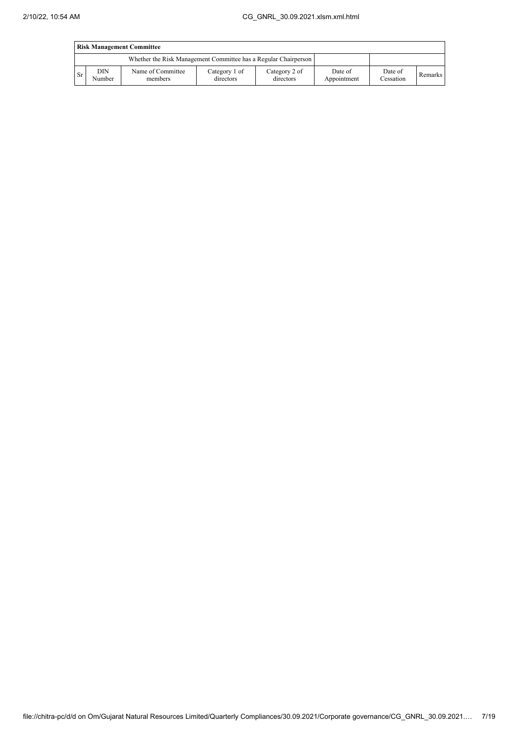|           | <b>Risk Management Committee</b> |                                                                 |                            |                            |                        |                      |         |  |  |
|-----------|----------------------------------|-----------------------------------------------------------------|----------------------------|----------------------------|------------------------|----------------------|---------|--|--|
|           |                                  | Whether the Risk Management Committee has a Regular Chairperson |                            |                            |                        |                      |         |  |  |
| <b>Sr</b> | DIN<br>Number                    | Name of Committee<br>members                                    | Category 1 of<br>directors | Category 2 of<br>directors | Date of<br>Appointment | Date of<br>Cessation | Remarks |  |  |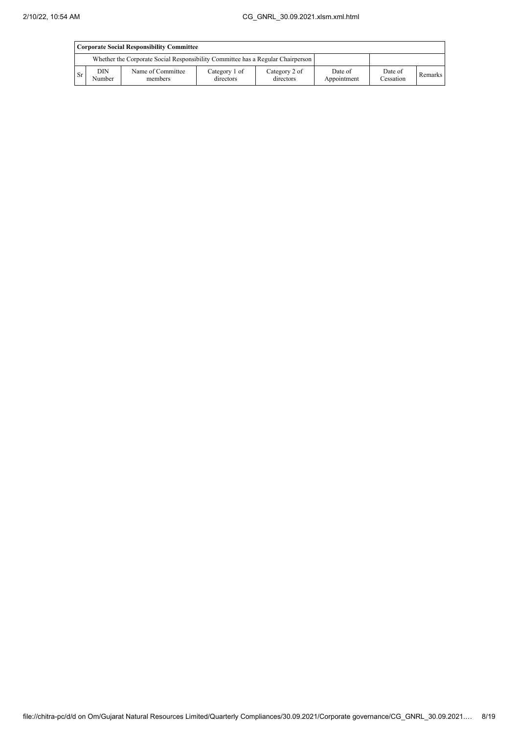|           | Corporate Social Responsibility Committee |                                                                                 |                            |                            |                        |                      |         |  |  |
|-----------|-------------------------------------------|---------------------------------------------------------------------------------|----------------------------|----------------------------|------------------------|----------------------|---------|--|--|
|           |                                           | Whether the Corporate Social Responsibility Committee has a Regular Chairperson |                            |                            |                        |                      |         |  |  |
| <b>Sr</b> | DIN<br>Number                             | Name of Committee<br>members                                                    | Category 1 of<br>directors | Category 2 of<br>directors | Date of<br>Appointment | Date of<br>Cessation | Remarks |  |  |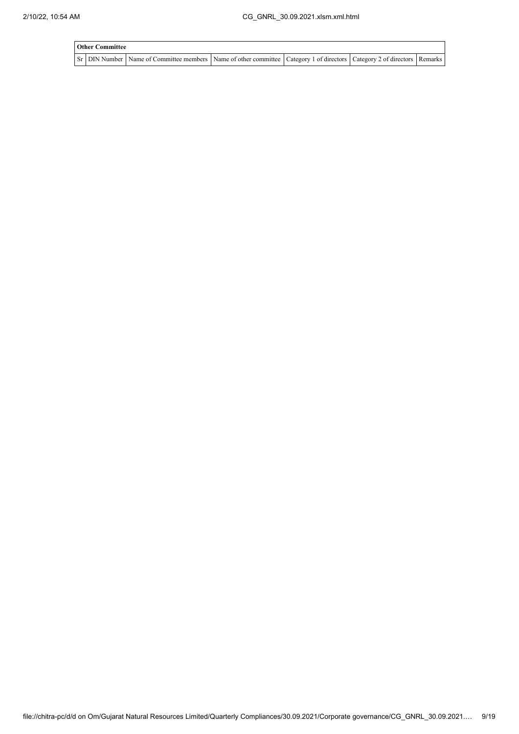| <b>Other Committee</b> |                                                                                                                                     |  |  |
|------------------------|-------------------------------------------------------------------------------------------------------------------------------------|--|--|
|                        | Sr   DIN Number   Name of Committee members   Name of other committee   Category 1 of directors   Category 2 of directors   Remarks |  |  |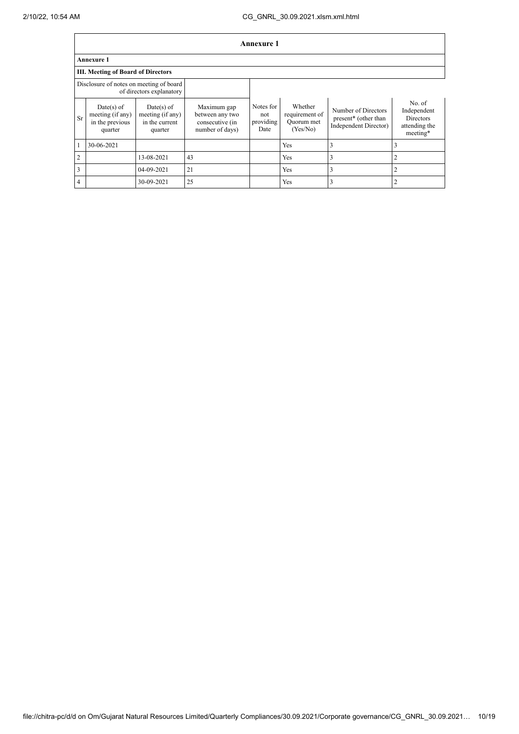|                | Annexure 1                                                   |                                                               |                                                                      |                                       |                                                     |                                                                      |                                                                        |  |  |
|----------------|--------------------------------------------------------------|---------------------------------------------------------------|----------------------------------------------------------------------|---------------------------------------|-----------------------------------------------------|----------------------------------------------------------------------|------------------------------------------------------------------------|--|--|
|                | Annexure 1                                                   |                                                               |                                                                      |                                       |                                                     |                                                                      |                                                                        |  |  |
|                | <b>III. Meeting of Board of Directors</b>                    |                                                               |                                                                      |                                       |                                                     |                                                                      |                                                                        |  |  |
|                | Disclosure of notes on meeting of board                      | of directors explanatory                                      |                                                                      |                                       |                                                     |                                                                      |                                                                        |  |  |
| <b>Sr</b>      | Date(s) of<br>meeting (if any)<br>in the previous<br>quarter | $Date(s)$ of<br>meeting (if any)<br>in the current<br>quarter | Maximum gap<br>between any two<br>consecutive (in<br>number of days) | Notes for<br>not<br>providing<br>Date | Whether<br>requirement of<br>Ouorum met<br>(Yes/No) | Number of Directors<br>present* (other than<br>Independent Director) | No. of<br>Independent<br><b>Directors</b><br>attending the<br>meeting* |  |  |
|                | 30-06-2021                                                   |                                                               |                                                                      |                                       | Yes                                                 | 3                                                                    | 3                                                                      |  |  |
| $\overline{2}$ |                                                              | 13-08-2021                                                    | 43                                                                   |                                       | Yes                                                 | 3                                                                    | $\overline{2}$                                                         |  |  |
| 3              |                                                              | 04-09-2021                                                    | 21                                                                   |                                       | Yes                                                 | 3                                                                    | $\overline{2}$                                                         |  |  |
| $\overline{4}$ |                                                              | 30-09-2021                                                    | 25                                                                   |                                       | Yes                                                 | 3                                                                    | $\overline{2}$                                                         |  |  |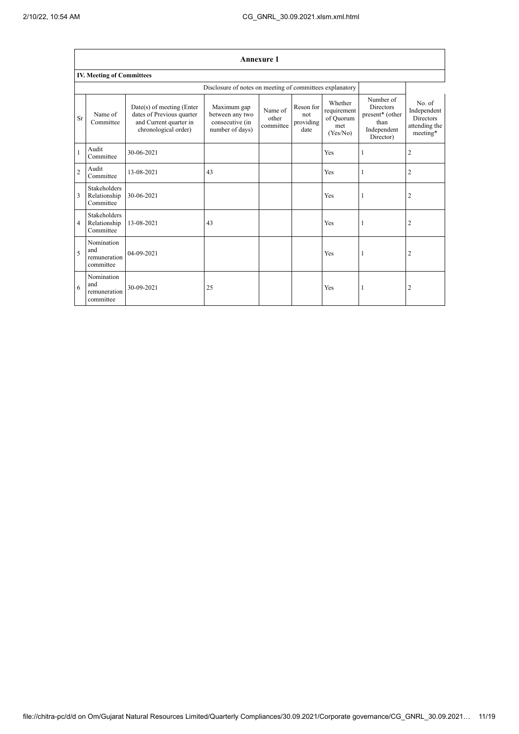|                | <b>Annexure 1</b>                                |                                                                                                          |                                                                      |                               |                                       |                                                        |                                                                                      |                                                                        |  |  |
|----------------|--------------------------------------------------|----------------------------------------------------------------------------------------------------------|----------------------------------------------------------------------|-------------------------------|---------------------------------------|--------------------------------------------------------|--------------------------------------------------------------------------------------|------------------------------------------------------------------------|--|--|
|                | <b>IV. Meeting of Committees</b>                 |                                                                                                          |                                                                      |                               |                                       |                                                        |                                                                                      |                                                                        |  |  |
|                |                                                  |                                                                                                          | Disclosure of notes on meeting of committees explanatory             |                               |                                       |                                                        |                                                                                      |                                                                        |  |  |
| <b>Sr</b>      | Name of<br>Committee                             | Date(s) of meeting (Enter<br>dates of Previous quarter<br>and Current quarter in<br>chronological order) | Maximum gap<br>between any two<br>consecutive (in<br>number of days) | Name of<br>other<br>committee | Reson for<br>not<br>providing<br>date | Whether<br>requirement<br>of Quorum<br>met<br>(Yes/No) | Number of<br><b>Directors</b><br>present* (other<br>than<br>Independent<br>Director) | No. of<br>Independent<br><b>Directors</b><br>attending the<br>meeting* |  |  |
| $\mathbf{1}$   | Audit<br>Committee                               | 30-06-2021                                                                                               |                                                                      |                               |                                       | Yes                                                    | ı                                                                                    | $\overline{2}$                                                         |  |  |
| $\overline{2}$ | Audit<br>Committee                               | 13-08-2021                                                                                               | 43                                                                   |                               |                                       | Yes                                                    |                                                                                      | $\overline{2}$                                                         |  |  |
| 3              | <b>Stakeholders</b><br>Relationship<br>Committee | 30-06-2021                                                                                               |                                                                      |                               |                                       | Yes                                                    | 1                                                                                    | $\overline{2}$                                                         |  |  |
| $\overline{4}$ | <b>Stakeholders</b><br>Relationship<br>Committee | 13-08-2021                                                                                               | 43                                                                   |                               |                                       | Yes                                                    | 1                                                                                    | $\overline{2}$                                                         |  |  |
| 5              | Nomination<br>and<br>remuneration<br>committee   | 04-09-2021                                                                                               |                                                                      |                               |                                       | Yes                                                    | 1                                                                                    | 2                                                                      |  |  |
| 6              | Nomination<br>and<br>remuneration<br>committee   | 30-09-2021                                                                                               | 25                                                                   |                               |                                       | Yes                                                    | 1                                                                                    | $\overline{c}$                                                         |  |  |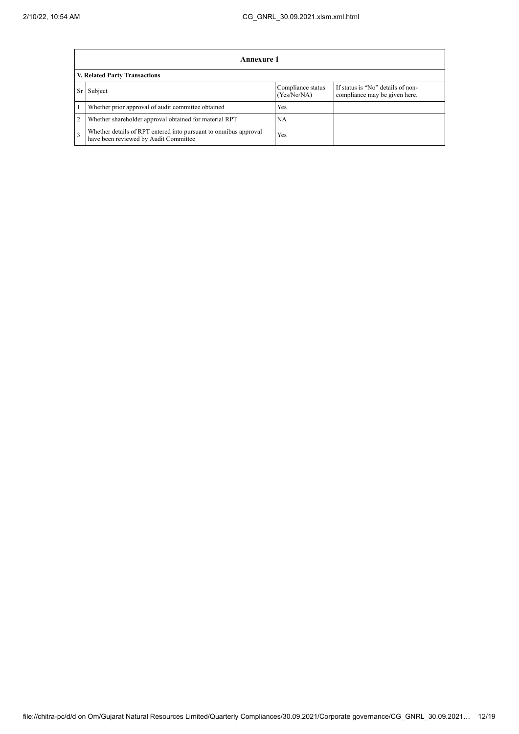|                | <b>Annexure 1</b>                                                                                         |                                  |                                                                    |  |  |  |  |  |
|----------------|-----------------------------------------------------------------------------------------------------------|----------------------------------|--------------------------------------------------------------------|--|--|--|--|--|
|                | V. Related Party Transactions                                                                             |                                  |                                                                    |  |  |  |  |  |
| <b>Sr</b>      | Subject                                                                                                   | Compliance status<br>(Yes/No/NA) | If status is "No" details of non-<br>compliance may be given here. |  |  |  |  |  |
|                | Whether prior approval of audit committee obtained                                                        | Yes                              |                                                                    |  |  |  |  |  |
| $\overline{2}$ | Whether shareholder approval obtained for material RPT                                                    | NA                               |                                                                    |  |  |  |  |  |
| 3              | Whether details of RPT entered into pursuant to omnibus approval<br>have been reviewed by Audit Committee | Yes                              |                                                                    |  |  |  |  |  |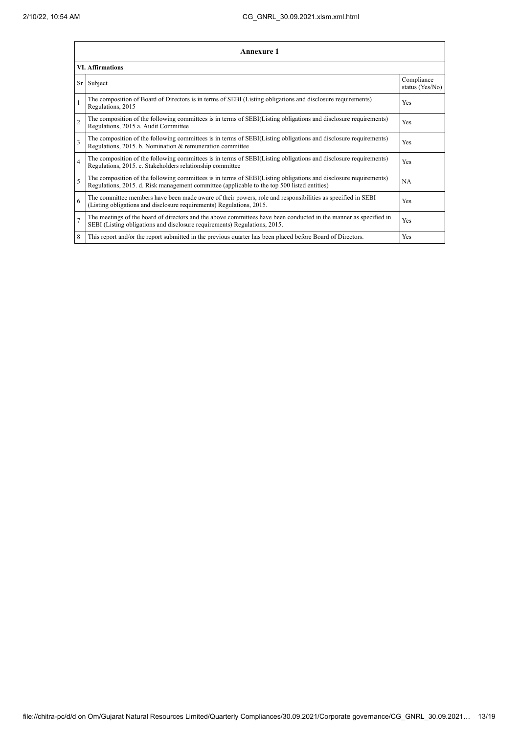|                | Annexure 1                                                                                                                                                                                                      |                               |  |  |
|----------------|-----------------------------------------------------------------------------------------------------------------------------------------------------------------------------------------------------------------|-------------------------------|--|--|
|                | <b>VI. Affirmations</b>                                                                                                                                                                                         |                               |  |  |
|                | Sr Subject                                                                                                                                                                                                      | Compliance<br>status (Yes/No) |  |  |
|                | The composition of Board of Directors is in terms of SEBI (Listing obligations and disclosure requirements)<br>Regulations, 2015                                                                                | Yes                           |  |  |
| $\overline{2}$ | The composition of the following committees is in terms of SEBI(Listing obligations and disclosure requirements)<br>Regulations, 2015 a. Audit Committee                                                        | <b>Yes</b>                    |  |  |
| 3              | The composition of the following committees is in terms of SEBI(Listing obligations and disclosure requirements)<br>Regulations, 2015. b. Nomination & remuneration committee                                   | Yes                           |  |  |
| $\overline{4}$ | The composition of the following committees is in terms of SEBI(Listing obligations and disclosure requirements)<br>Regulations, 2015. c. Stakeholders relationship committee                                   | <b>Yes</b>                    |  |  |
| 5              | The composition of the following committees is in terms of SEBI(Listing obligations and disclosure requirements)<br>Regulations, 2015. d. Risk management committee (applicable to the top 500 listed entities) | <b>NA</b>                     |  |  |
| 6              | The committee members have been made aware of their powers, role and responsibilities as specified in SEBI<br>(Listing obligations and disclosure requirements) Regulations, 2015.                              | Yes                           |  |  |
| $\overline{7}$ | The meetings of the board of directors and the above committees have been conducted in the manner as specified in<br>SEBI (Listing obligations and disclosure requirements) Regulations, 2015.                  | Yes                           |  |  |
| 8              | This report and/or the report submitted in the previous quarter has been placed before Board of Directors.                                                                                                      | Yes                           |  |  |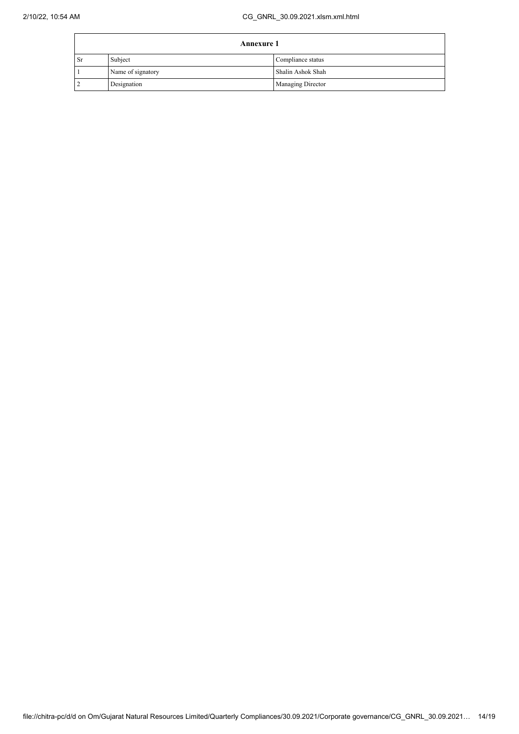| <b>Annexure 1</b> |                   |                   |
|-------------------|-------------------|-------------------|
| <b>Sr</b>         | Subject           | Compliance status |
|                   | Name of signatory | Shalin Ashok Shah |
|                   | Designation       | Managing Director |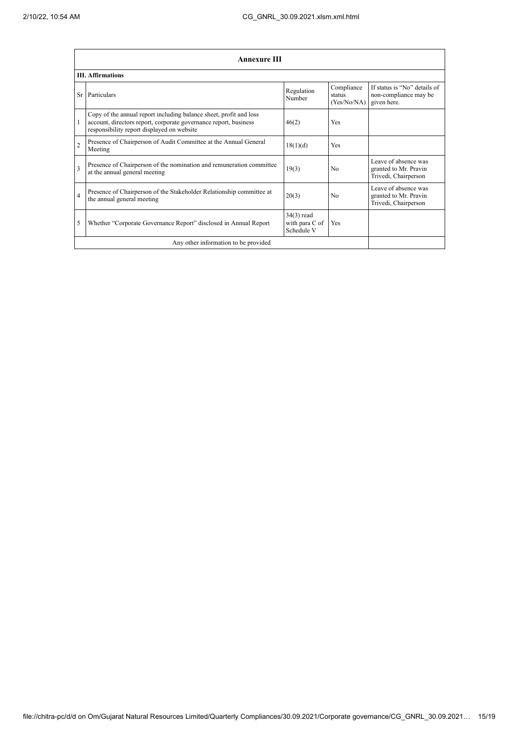|                | <b>Annexure III</b>                                                                                                                                                                  |                                            |                                     |                                                                       |  |
|----------------|--------------------------------------------------------------------------------------------------------------------------------------------------------------------------------------|--------------------------------------------|-------------------------------------|-----------------------------------------------------------------------|--|
|                | <b>III.</b> Affirmations                                                                                                                                                             |                                            |                                     |                                                                       |  |
| <b>Sr</b>      | Particulars                                                                                                                                                                          | Regulation<br>Number                       | Compliance<br>status<br>(Yes/No/NA) | If status is "No" details of<br>non-compliance may be<br>given here.  |  |
| 1              | Copy of the annual report including balance sheet, profit and loss<br>account, directors report, corporate governance report, business<br>responsibility report displayed on website | 46(2)                                      | Yes                                 |                                                                       |  |
| $\overline{2}$ | Presence of Chairperson of Audit Committee at the Annual General<br>Meeting                                                                                                          | 18(1)(d)                                   | Yes                                 |                                                                       |  |
| 3              | Presence of Chairperson of the nomination and remuneration committee<br>at the annual general meeting                                                                                | 19(3)                                      | N <sub>0</sub>                      | Leave of absence was<br>granted to Mr. Pravin<br>Trivedi, Chairperson |  |
| $\overline{4}$ | Presence of Chairperson of the Stakeholder Relationship committee at<br>the annual general meeting                                                                                   | 20(3)                                      | N <sub>0</sub>                      | Leave of absence was<br>granted to Mr. Pravin<br>Trivedi, Chairperson |  |
| 5              | Whether "Corporate Governance Report" disclosed in Annual Report                                                                                                                     | 34(3) read<br>with para C of<br>Schedule V | Yes                                 |                                                                       |  |
|                | Any other information to be provided                                                                                                                                                 |                                            |                                     |                                                                       |  |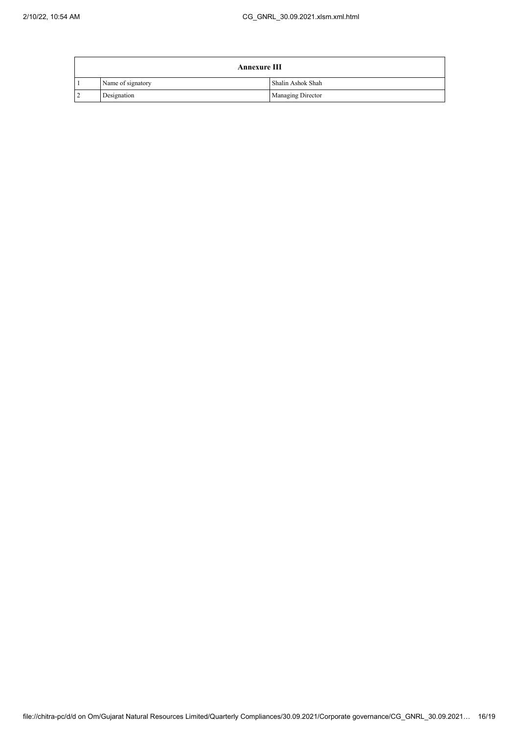|                | <b>Annexure III</b> |                          |  |
|----------------|---------------------|--------------------------|--|
|                | Name of signatory   | Shalin Ashok Shah        |  |
| $\overline{2}$ | Designation         | <b>Managing Director</b> |  |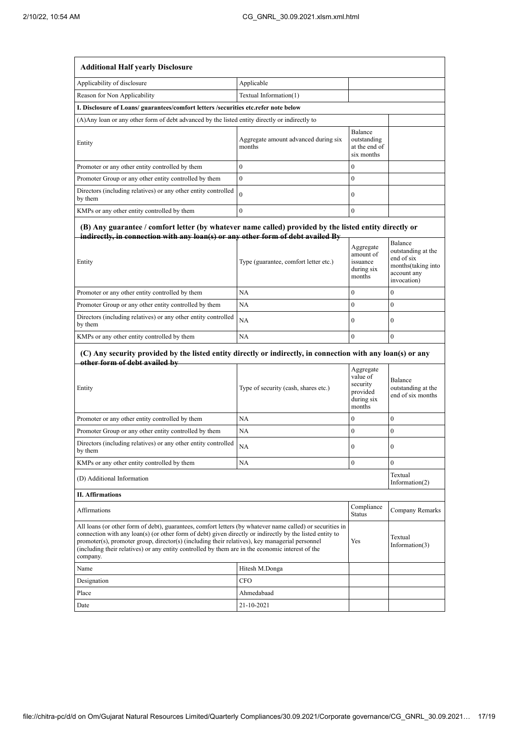| <b>Additional Half yearly Disclosure</b>                                                                                                                                                                                                                                                                                                                                                                                                |                                                |                                                                       |                                                                                                 |  |
|-----------------------------------------------------------------------------------------------------------------------------------------------------------------------------------------------------------------------------------------------------------------------------------------------------------------------------------------------------------------------------------------------------------------------------------------|------------------------------------------------|-----------------------------------------------------------------------|-------------------------------------------------------------------------------------------------|--|
| Applicability of disclosure                                                                                                                                                                                                                                                                                                                                                                                                             | Applicable                                     |                                                                       |                                                                                                 |  |
| Reason for Non Applicability                                                                                                                                                                                                                                                                                                                                                                                                            | Textual Information(1)                         |                                                                       |                                                                                                 |  |
| I. Disclosure of Loans/ guarantees/comfort letters /securities etc.refer note below                                                                                                                                                                                                                                                                                                                                                     |                                                |                                                                       |                                                                                                 |  |
| (A) Any loan or any other form of debt advanced by the listed entity directly or indirectly to                                                                                                                                                                                                                                                                                                                                          |                                                |                                                                       |                                                                                                 |  |
| Entity                                                                                                                                                                                                                                                                                                                                                                                                                                  | Aggregate amount advanced during six<br>months | Balance<br>outstanding<br>at the end of<br>six months                 |                                                                                                 |  |
| Promoter or any other entity controlled by them                                                                                                                                                                                                                                                                                                                                                                                         | $\mathbf{0}$                                   | $\mathbf{0}$                                                          |                                                                                                 |  |
| Promoter Group or any other entity controlled by them                                                                                                                                                                                                                                                                                                                                                                                   | $\boldsymbol{0}$                               | $\boldsymbol{0}$                                                      |                                                                                                 |  |
| Directors (including relatives) or any other entity controlled<br>by them                                                                                                                                                                                                                                                                                                                                                               | $\theta$                                       | $\boldsymbol{0}$                                                      |                                                                                                 |  |
| KMPs or any other entity controlled by them                                                                                                                                                                                                                                                                                                                                                                                             | $\mathbf{0}$                                   | $\mathbf{0}$                                                          |                                                                                                 |  |
| (B) Any guarantee / comfort letter (by whatever name called) provided by the listed entity directly or<br>indirectly, in connection with any loan(s) or any other form of debt availed By<br>Entity                                                                                                                                                                                                                                     | Type (guarantee, comfort letter etc.)          | Aggregate<br>amount of<br>issuance<br>during six<br>months            | Balance<br>outstanding at the<br>end of six<br>months(taking into<br>account any<br>invocation) |  |
| Promoter or any other entity controlled by them                                                                                                                                                                                                                                                                                                                                                                                         | NA                                             | $\mathbf{0}$                                                          | $\mathbf{0}$                                                                                    |  |
| Promoter Group or any other entity controlled by them                                                                                                                                                                                                                                                                                                                                                                                   | NA                                             | $\theta$                                                              | $\mathbf{0}$                                                                                    |  |
| Directors (including relatives) or any other entity controlled<br>by them                                                                                                                                                                                                                                                                                                                                                               | NA                                             | $\mathbf{0}$                                                          | $\mathbf{0}$                                                                                    |  |
| KMPs or any other entity controlled by them                                                                                                                                                                                                                                                                                                                                                                                             | NA                                             | $\mathbf{0}$                                                          | $\mathbf{0}$                                                                                    |  |
| (C) Any security provided by the listed entity directly or indirectly, in connection with any loan(s) or any                                                                                                                                                                                                                                                                                                                            |                                                |                                                                       |                                                                                                 |  |
|                                                                                                                                                                                                                                                                                                                                                                                                                                         |                                                |                                                                       |                                                                                                 |  |
| other form of debt availed by<br>Entity                                                                                                                                                                                                                                                                                                                                                                                                 | Type of security (cash, shares etc.)           | Aggregate<br>value of<br>security<br>provided<br>during six<br>months | Balance<br>outstanding at the<br>end of six months                                              |  |
| Promoter or any other entity controlled by them                                                                                                                                                                                                                                                                                                                                                                                         | NA                                             | $\theta$                                                              | $\theta$                                                                                        |  |
| Promoter Group or any other entity controlled by them                                                                                                                                                                                                                                                                                                                                                                                   | NA                                             | $\boldsymbol{0}$                                                      | 0                                                                                               |  |
| Directors (including relatives) or any other entity controlled<br>by them                                                                                                                                                                                                                                                                                                                                                               | NA                                             | $\boldsymbol{0}$                                                      | $\bf{0}$                                                                                        |  |
| KMPs or any other entity controlled by them                                                                                                                                                                                                                                                                                                                                                                                             | NA                                             | $\boldsymbol{0}$                                                      | $\overline{0}$                                                                                  |  |
| (D) Additional Information                                                                                                                                                                                                                                                                                                                                                                                                              |                                                |                                                                       | Textual<br>Information $(2)$                                                                    |  |
| <b>II.</b> Affirmations                                                                                                                                                                                                                                                                                                                                                                                                                 |                                                |                                                                       |                                                                                                 |  |
| Affirmations                                                                                                                                                                                                                                                                                                                                                                                                                            |                                                | Compliance<br><b>Status</b>                                           | Company Remarks                                                                                 |  |
| All loans (or other form of debt), guarantees, comfort letters (by whatever name called) or securities in<br>connection with any loan(s) (or other form of debt) given directly or indirectly by the listed entity to<br>promoter(s), promoter group, director(s) (including their relatives), key managerial personnel<br>(including their relatives) or any entity controlled by them are in the economic interest of the<br>company. |                                                | Yes                                                                   | Textual<br>Information $(3)$                                                                    |  |
| Name                                                                                                                                                                                                                                                                                                                                                                                                                                    | Hitesh M.Donga                                 |                                                                       |                                                                                                 |  |
| Designation                                                                                                                                                                                                                                                                                                                                                                                                                             | CFO                                            |                                                                       |                                                                                                 |  |
| Place                                                                                                                                                                                                                                                                                                                                                                                                                                   | Ahmedabaad                                     |                                                                       |                                                                                                 |  |